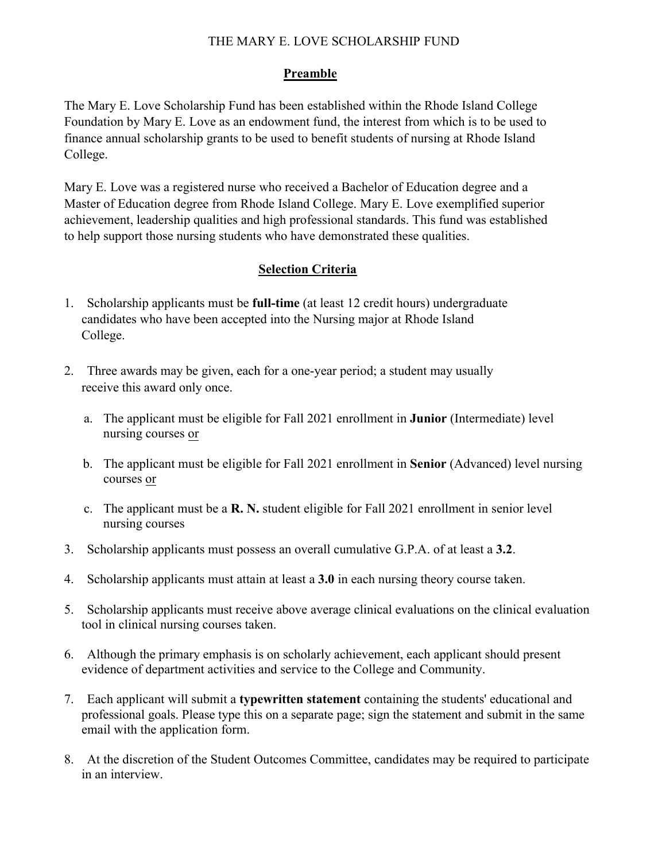## THE MARY E. LOVE SCHOLARSHIP FUND

### **Preamble**

The Mary E. Love Scholarship Fund has been established within the Rhode Island College Foundation by Mary E. Love as an endowment fund, the interest from which is to be used to finance annual scholarship grants to be used to benefit students of nursing at Rhode Island College.

Mary E. Love was a registered nurse who received a Bachelor of Education degree and a Master of Education degree from Rhode Island College. Mary E. Love exemplified superior achievement, leadership qualities and high professional standards. This fund was established to help support those nursing students who have demonstrated these qualities.

## **Selection Criteria**

- 1. Scholarship applicants must be **full-time** (at least 12 credit hours) undergraduate candidates who have been accepted into the Nursing major at Rhode Island College.
- 2. Three awards may be given, each for a one-year period; a student may usually receive this award only once.
	- a. The applicant must be eligible for Fall 2021 enrollment in **Junior** (Intermediate) level nursing courses or
	- b. The applicant must be eligible for Fall 2021 enrollment in **Senior** (Advanced) level nursing courses or
	- c. The applicant must be a **R. N.** student eligible for Fall 2021 enrollment in senior level nursing courses
- 3. Scholarship applicants must possess an overall cumulative G.P.A. of at least a **3.2**.
- 4. Scholarship applicants must attain at least a **3.0** in each nursing theory course taken.
- 5. Scholarship applicants must receive above average clinical evaluations on the clinical evaluation tool in clinical nursing courses taken.
- 6. Although the primary emphasis is on scholarly achievement, each applicant should present evidence of department activities and service to the College and Community.
- 7. Each applicant will submit a **typewritten statement** containing the students' educational and professional goals. Please type this on a separate page; sign the statement and submit in the same email with the application form.
- 8. At the discretion of the Student Outcomes Committee, candidates may be required to participate in an interview.